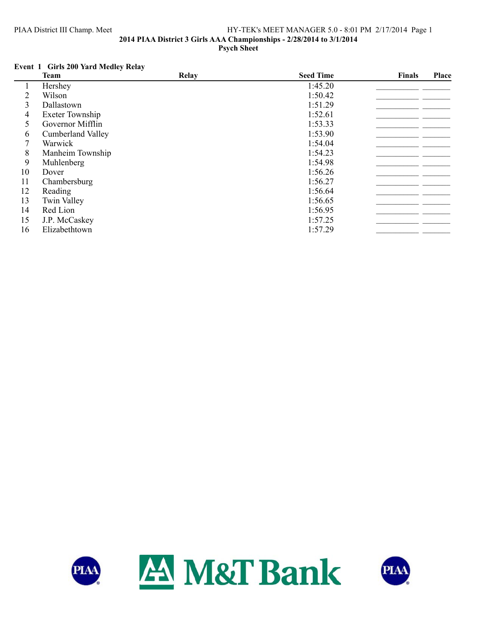## PIAA District III Champ. Meet HY-TEK's MEET MANAGER 5.0 - 8:01 PM 2/17/2014 Page 1 **2014 PIAA District 3 Girls AAA Championships - 2/28/2014 to 3/1/2014 Psych Sheet**

# **Event 1 Girls 200 Yard Medley Relay**

|    | <b>Team</b>              | Relay | <b>Seed Time</b> | <b>Finals</b> | Place |
|----|--------------------------|-------|------------------|---------------|-------|
|    | Hershey                  |       | 1:45.20          |               |       |
| 2  | Wilson                   |       | 1:50.42          |               |       |
| 3  | Dallastown               |       | 1:51.29          |               |       |
| 4  | <b>Exeter Township</b>   |       | 1:52.61          |               |       |
| 5  | Governor Mifflin         |       | 1:53.33          |               |       |
| 6  | <b>Cumberland Valley</b> |       | 1:53.90          |               |       |
|    | Warwick                  |       | 1:54.04          |               |       |
| 8  | Manheim Township         |       | 1:54.23          |               |       |
| 9  | Muhlenberg               |       | 1:54.98          |               |       |
| 10 | Dover                    |       | 1:56.26          |               |       |
| 11 | Chambersburg             |       | 1:56.27          |               |       |
| 12 | Reading                  |       | 1:56.64          |               |       |
| 13 | <b>Twin Valley</b>       |       | 1:56.65          |               |       |
| 14 | Red Lion                 |       | 1:56.95          |               |       |
| 15 | J.P. McCaskey            |       | 1:57.25          |               |       |
| 16 | Elizabethtown            |       | 1:57.29          |               |       |



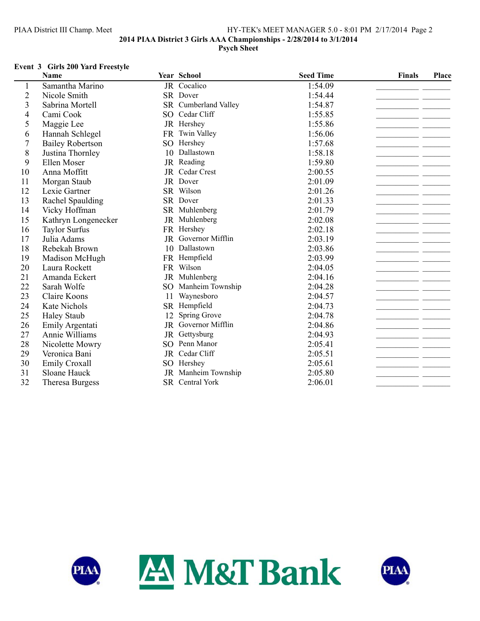# PIAA District III Champ. Meet HY-TEK's MEET MANAGER 5.0 - 8:01 PM 2/17/2014 Page 2 **2014 PIAA District 3 Girls AAA Championships - 2/28/2014 to 3/1/2014 Psych Sheet**

### **Event 3 Girls 200 Yard Freestyle**

|                | Name                    |                 | Year School          | <b>Seed Time</b> | Finals | Place |
|----------------|-------------------------|-----------------|----------------------|------------------|--------|-------|
| 1              | Samantha Marino         |                 | JR Cocalico          | 1:54.09          |        |       |
| $\overline{2}$ | Nicole Smith            |                 | SR Dover             | 1:54.44          |        |       |
| 3              | Sabrina Mortell         |                 | SR Cumberland Valley | 1:54.87          |        |       |
| 4              | Cami Cook               |                 | SO Cedar Cliff       | 1:55.85          |        |       |
| 5              | Maggie Lee              |                 | JR Hershey           | 1:55.86          |        |       |
| 6              | Hannah Schlegel         | <b>FR</b>       | <b>Twin Valley</b>   | 1:56.06          |        |       |
| 7              | <b>Bailey Robertson</b> |                 | SO Hershey           | 1:57.68          |        |       |
| 8              | Justina Thornley        | 10              | Dallastown           | 1:58.18          |        |       |
| 9              | Ellen Moser             |                 | JR Reading           | 1:59.80          |        |       |
| 10             | Anna Moffitt            |                 | JR Cedar Crest       | 2:00.55          |        |       |
| 11             | Morgan Staub            |                 | JR Dover             | 2:01.09          |        |       |
| 12             | Lexie Gartner           |                 | SR Wilson            | 2:01.26          |        |       |
| 13             | Rachel Spaulding        |                 | SR Dover             | 2:01.33          |        |       |
| 14             | Vicky Hoffman           |                 | SR Muhlenberg        | 2:01.79          |        |       |
| 15             | Kathryn Longenecker     |                 | JR Muhlenberg        | 2:02.08          |        |       |
| 16             | <b>Taylor Surfus</b>    |                 | FR Hershey           | 2:02.18          |        |       |
| 17             | Julia Adams             |                 | JR Governor Mifflin  | 2:03.19          |        |       |
| 18             | Rebekah Brown           |                 | 10 Dallastown        | 2:03.86          |        |       |
| 19             | Madison McHugh          | FR              | Hempfield            | 2:03.99          |        |       |
| 20             | Laura Rockett           |                 | FR Wilson            | 2:04.05          |        |       |
| 21             | Amanda Eckert           |                 | JR Muhlenberg        | 2:04.16          |        |       |
| 22             | Sarah Wolfe             |                 | SO Manheim Township  | 2:04.28          |        |       |
| 23             | Claire Koons            | 11              | Waynesboro           | 2:04.57          |        |       |
| 24             | Kate Nichols            |                 | SR Hempfield         | 2:04.73          |        |       |
| 25             | <b>Haley Staub</b>      | 12              | Spring Grove         | 2:04.78          |        |       |
| 26             | Emily Argentati         |                 | JR Governor Mifflin  | 2:04.86          |        |       |
| 27             | Annie Williams          | <b>JR</b>       | Gettysburg           | 2:04.93          |        |       |
| 28             | Nicolette Mowry         | SO              | Penn Manor           | 2:05.41          |        |       |
| 29             | Veronica Bani           |                 | JR Cedar Cliff       | 2:05.51          |        |       |
| 30             | <b>Emily Croxall</b>    | SO <sub>2</sub> | Hershey              | 2:05.61          |        |       |
| 31             | Sloane Hauck            |                 | JR Manheim Township  | 2:05.80          |        |       |
| 32             | <b>Theresa Burgess</b>  |                 | SR Central York      | 2:06.01          |        |       |



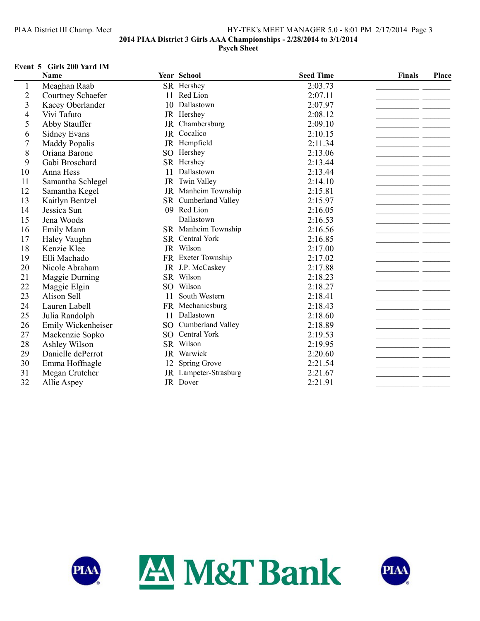## PIAA District III Champ. Meet HY-TEK's MEET MANAGER 5.0 - 8:01 PM 2/17/2014 Page 3 **2014 PIAA District 3 Girls AAA Championships - 2/28/2014 to 3/1/2014 Psych Sheet**

#### **Event 5 Girls 200 Yard IM**

|                  | Name                 |                 | Year School          | <b>Seed Time</b> | <b>Finals</b> | Place |
|------------------|----------------------|-----------------|----------------------|------------------|---------------|-------|
| 1                | Meaghan Raab         |                 | SR Hershey           | 2:03.73          |               |       |
| $\overline{2}$   | Courtney Schaefer    | 11              | Red Lion             | 2:07.11          |               |       |
| 3                | Kacey Oberlander     | 10              | Dallastown           | 2:07.97          |               |       |
| 4                | Vivi Tafuto          |                 | JR Hershey           | 2:08.12          |               |       |
| 5                | Abby Stauffer        | JR              | Chambersburg         | 2:09.10          |               |       |
| 6                | <b>Sidney Evans</b>  |                 | JR Cocalico          | 2:10.15          |               |       |
| $\boldsymbol{7}$ | <b>Maddy Popalis</b> |                 | JR Hempfield         | 2:11.34          |               |       |
| 8                | Oriana Barone        | SO <sub>2</sub> | Hershey              | 2:13.06          |               |       |
| 9                | Gabi Broschard       |                 | SR Hershey           | 2:13.44          |               |       |
| 10               | Anna Hess            | 11              | Dallastown           | 2:13.44          |               |       |
| 11               | Samantha Schlegel    |                 | JR Twin Valley       | 2:14.10          |               |       |
| 12               | Samantha Kegel       |                 | JR Manheim Township  | 2:15.81          |               |       |
| 13               | Kaitlyn Bentzel      |                 | SR Cumberland Valley | 2:15.97          |               |       |
| 14               | Jessica Sun          | 09              | Red Lion             | 2:16.05          |               |       |
| 15               | Jena Woods           |                 | Dallastown           | 2:16.53          |               |       |
| 16               | <b>Emily Mann</b>    |                 | SR Manheim Township  | 2:16.56          |               |       |
| 17               | Haley Vaughn         |                 | SR Central York      | 2:16.85          |               |       |
| 18               | Kenzie Klee          |                 | JR Wilson            | 2:17.00          |               |       |
| 19               | Elli Machado         |                 | FR Exeter Township   | 2:17.02          |               |       |
| 20               | Nicole Abraham       |                 | JR J.P. McCaskey     | 2:17.88          |               |       |
| 21               | Maggie Durning       |                 | SR Wilson            | 2:18.23          |               |       |
| 22               | Maggie Elgin         |                 | SO Wilson            | 2:18.27          |               |       |
| 23               | Alison Sell          | 11              | South Western        | 2:18.41          |               |       |
| 24               | Lauren Labell        |                 | FR Mechanicsburg     | 2:18.43          |               |       |
| 25               | Julia Randolph       | 11              | Dallastown           | 2:18.60          |               |       |
| 26               | Emily Wickenheiser   | SO              | Cumberland Valley    | 2:18.89          |               |       |
| 27               | Mackenzie Sopko      |                 | SO Central York      | 2:19.53          |               |       |
| 28               | Ashley Wilson        |                 | SR Wilson            | 2:19.95          |               |       |
| 29               | Danielle dePerrot    |                 | JR Warwick           | 2:20.60          |               |       |
| 30               | Emma Hoffnagle       | 12              | Spring Grove         | 2:21.54          |               |       |
| 31               | Megan Crutcher       | JR              | Lampeter-Strasburg   | 2:21.67          |               |       |
| 32               | Allie Aspey          |                 | JR Dover             | 2:21.91          |               |       |



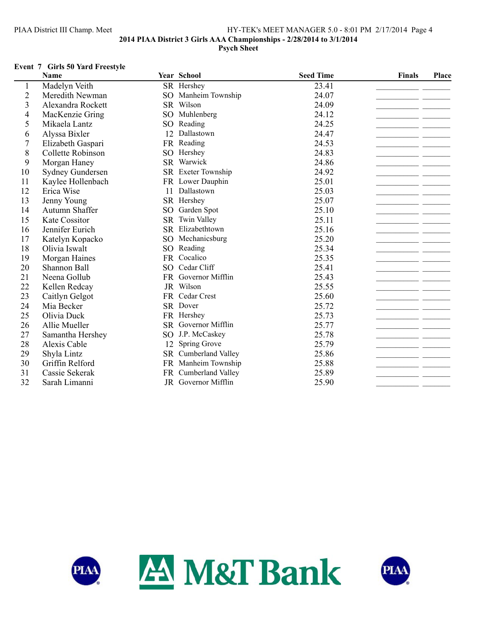## PIAA District III Champ. Meet HY-TEK's MEET MANAGER 5.0 - 8:01 PM 2/17/2014 Page 4 **2014 PIAA District 3 Girls AAA Championships - 2/28/2014 to 3/1/2014 Psych Sheet**

### **Event 7 Girls 50 Yard Freestyle**

|                         | <b>Name</b>             |                 | Year School          | <b>Seed Time</b> | <b>Finals</b> | Place |
|-------------------------|-------------------------|-----------------|----------------------|------------------|---------------|-------|
| 1                       | Madelyn Veith           |                 | SR Hershey           | 23.41            |               |       |
| $\overline{c}$          | Meredith Newman         | SO <sub>1</sub> | Manheim Township     | 24.07            |               |       |
| $\overline{\mathbf{3}}$ | Alexandra Rockett       |                 | SR Wilson            | 24.09            |               |       |
| 4                       | MacKenzie Gring         | SO <sub>1</sub> | Muhlenberg           | 24.12            |               |       |
| 5                       | Mikaela Lantz           | SO <sub>1</sub> | Reading              | 24.25            |               |       |
| 6                       | Alyssa Bixler           | 12              | Dallastown           | 24.47            |               |       |
| 7                       | Elizabeth Gaspari       |                 | FR Reading           | 24.53            |               |       |
| 8                       | Collette Robinson       | SO.             | Hershey              | 24.83            |               |       |
| 9                       | Morgan Haney            |                 | SR Warwick           | 24.86            |               |       |
| 10                      | <b>Sydney Gundersen</b> |                 | SR Exeter Township   | 24.92            |               |       |
| 11                      | Kaylee Hollenbach       |                 | FR Lower Dauphin     | 25.01            |               |       |
| 12                      | Erica Wise              | 11              | Dallastown           | 25.03            |               |       |
| 13                      | Jenny Young             |                 | SR Hershey           | 25.07            |               |       |
| 14                      | Autumn Shaffer          | SO <sub>1</sub> | Garden Spot          | 25.10            |               |       |
| 15                      | Kate Cossitor           | <b>SR</b>       | Twin Valley          | 25.11            |               |       |
| 16                      | Jennifer Eurich         |                 | SR Elizabethtown     | 25.16            |               |       |
| 17                      | Katelyn Kopacko         | SO.             | Mechanicsburg        | 25.20            |               |       |
| 18                      | Olivia Iswalt           | SO <sub>1</sub> | Reading              | 25.34            |               |       |
| 19                      | Morgan Haines           | FR.             | Cocalico             | 25.35            |               |       |
| 20                      | Shannon Ball            | SO <sub>1</sub> | Cedar Cliff          | 25.41            |               |       |
| 21                      | Neena Gollub            |                 | FR Governor Mifflin  | 25.43            |               |       |
| 22                      | Kellen Redcay           |                 | JR Wilson            | 25.55            |               |       |
| 23                      | Caitlyn Gelgot          |                 | FR Cedar Crest       | 25.60            |               |       |
| 24                      | Mia Becker              |                 | SR Dover             | 25.72            |               |       |
| 25                      | Olivia Duck             |                 | FR Hershey           | 25.73            |               |       |
| 26                      | Allie Mueller           |                 | SR Governor Mifflin  | 25.77            |               |       |
| 27                      | Samantha Hershey        | SO <sub>1</sub> | J.P. McCaskey        | 25.78            |               |       |
| 28                      | Alexis Cable            | 12              | Spring Grove         | 25.79            |               |       |
| 29                      | Shyla Lintz             |                 | SR Cumberland Valley | 25.86            |               |       |
| 30                      | Griffin Relford         |                 | FR Manheim Township  | 25.88            |               |       |
| 31                      | Cassie Sekerak          |                 | FR Cumberland Valley | 25.89            |               |       |
| 32                      | Sarah Limanni           |                 | JR Governor Mifflin  | 25.90            |               |       |



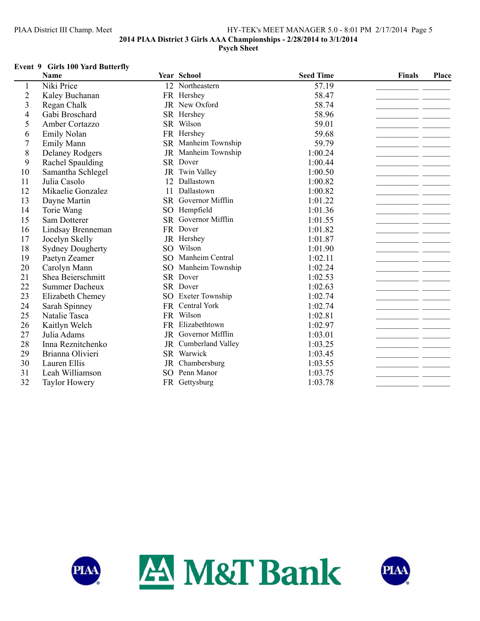## PIAA District III Champ. Meet HY-TEK's MEET MANAGER 5.0 - 8:01 PM 2/17/2014 Page 5 **2014 PIAA District 3 Girls AAA Championships - 2/28/2014 to 3/1/2014 Psych Sheet**

### **Event 9 Girls 100 Yard Butterfly**

|                         | <b>Name</b>             |                 | Year School         | <b>Seed Time</b> | <b>Finals</b> | Place |
|-------------------------|-------------------------|-----------------|---------------------|------------------|---------------|-------|
| 1                       | Niki Price              |                 | 12 Northeastern     | 57.19            |               |       |
| $\overline{2}$          | Kaley Buchanan          |                 | FR Hershey          | 58.47            |               |       |
| $\overline{\mathbf{3}}$ | Regan Chalk             |                 | JR New Oxford       | 58.74            |               |       |
| $\overline{4}$          | Gabi Broschard          |                 | SR Hershey          | 58.96            |               |       |
| 5                       | Amber Cortazzo          |                 | SR Wilson           | 59.01            |               |       |
| 6                       | Emily Nolan             |                 | FR Hershey          | 59.68            |               |       |
| $\overline{7}$          | <b>Emily Mann</b>       |                 | SR Manheim Township | 59.79            |               |       |
| 8                       | <b>Delaney Rodgers</b>  |                 | JR Manheim Township | 1:00.24          |               |       |
| 9                       | Rachel Spaulding        |                 | SR Dover            | 1:00.44          |               |       |
| 10                      | Samantha Schlegel       |                 | JR Twin Valley      | 1:00.50          |               |       |
| 11                      | Julia Casolo            | 12              | Dallastown          | 1:00.82          |               |       |
| 12                      | Mikaelie Gonzalez       | 11              | Dallastown          | 1:00.82          |               |       |
| 13                      | Dayne Martin            |                 | SR Governor Mifflin | 1:01.22          |               |       |
| 14                      | Torie Wang              | SO <sub>1</sub> | Hempfield           | 1:01.36          |               |       |
| 15                      | Sam Dotterer            |                 | SR Governor Mifflin | 1:01.55          |               |       |
| 16                      | Lindsay Brenneman       |                 | FR Dover            | 1:01.82          |               |       |
| 17                      | Jocelyn Skelly          |                 | JR Hershey          | 1:01.87          |               |       |
| 18                      | <b>Sydney Dougherty</b> | SO              | Wilson              | 1:01.90          |               |       |
| 19                      | Paetyn Zeamer           |                 | SO Manheim Central  | 1:02.11          |               |       |
| 20                      | Carolyn Mann            | SO <sub>1</sub> | Manheim Township    | 1:02.24          |               |       |
| 21                      | Shea Beierschmitt       |                 | SR Dover            | 1:02.53          |               |       |
| 22                      | <b>Summer Dacheux</b>   |                 | SR Dover            | 1:02.63          |               |       |
| 23                      | Elizabeth Chemey        |                 | SO Exeter Township  | 1:02.74          |               |       |
| 24                      | Sarah Spinney           |                 | FR Central York     | 1:02.74          |               |       |
| 25                      | Natalie Tasca           |                 | FR Wilson           | 1:02.81          |               |       |
| 26                      | Kaitlyn Welch           |                 | FR Elizabethtown    | 1:02.97          |               |       |
| 27                      | Julia Adams             |                 | JR Governor Mifflin | 1:03.01          |               |       |
| 28                      | Inna Reznitchenko       | JR              | Cumberland Valley   | 1:03.25          |               |       |
| 29                      | Brianna Olivieri        |                 | SR Warwick          | 1:03.45          |               |       |
| 30                      | Lauren Ellis            |                 | JR Chambersburg     | 1:03.55          |               |       |
| 31                      | Leah Williamson         | SO.             | Penn Manor          | 1:03.75          |               |       |
| 32                      | <b>Taylor Howery</b>    |                 | FR Gettysburg       | 1:03.78          |               |       |



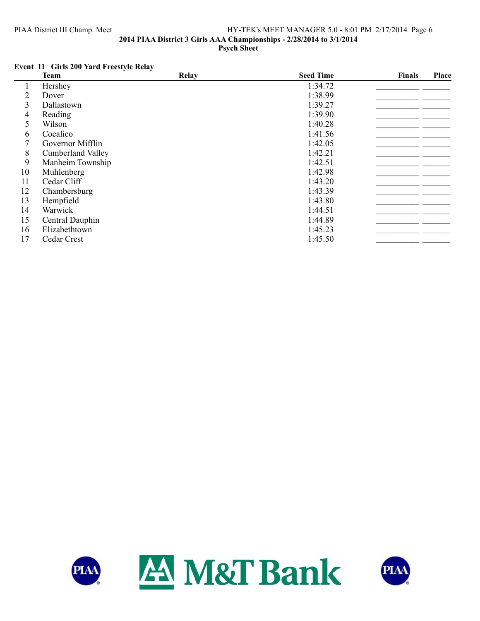## PIAA District III Champ. Meet HY-TEK's MEET MANAGER 5.0 - 8:01 PM 2/17/2014 Page 6 **2014 PIAA District 3 Girls AAA Championships - 2/28/2014 to 3/1/2014 Psych Sheet**

# **Event 11 Girls 200 Yard Freestyle Relay**

|    | <b>Team</b>              | <b>Relay</b> | <b>Seed Time</b> | Finals | <b>Place</b> |
|----|--------------------------|--------------|------------------|--------|--------------|
|    | Hershey                  |              | 1:34.72          |        |              |
| 2  | Dover                    |              | 1:38.99          |        |              |
| 3  | Dallastown               |              | 1:39.27          |        |              |
| 4  | Reading                  |              | 1:39.90          |        |              |
| 5  | Wilson                   |              | 1:40.28          |        |              |
| 6  | Cocalico                 |              | 1:41.56          |        |              |
| 7  | Governor Mifflin         |              | 1:42.05          |        |              |
| 8  | <b>Cumberland Valley</b> |              | 1:42.21          |        |              |
| 9  | Manheim Township         |              | 1:42.51          |        |              |
| 10 | Muhlenberg               |              | 1:42.98          |        |              |
| 11 | Cedar Cliff              |              | 1:43.20          |        |              |
| 12 | Chambersburg             |              | 1:43.39          |        |              |
| 13 | Hempfield                |              | 1:43.80          |        |              |
| 14 | Warwick                  |              | 1:44.51          |        |              |
| 15 | Central Dauphin          |              | 1:44.89          |        |              |
| 16 | Elizabethtown            |              | 1:45.23          |        |              |
| 17 | Cedar Crest              |              | 1:45.50          |        |              |



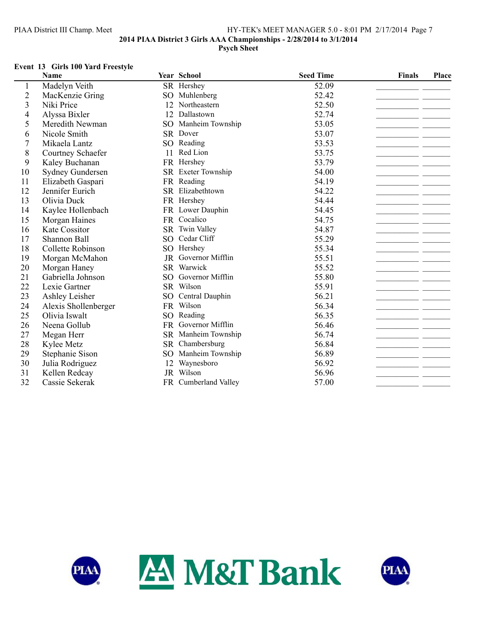# PIAA District III Champ. Meet HY-TEK's MEET MANAGER 5.0 - 8:01 PM 2/17/2014 Page 7 **2014 PIAA District 3 Girls AAA Championships - 2/28/2014 to 3/1/2014 Psych Sheet**

### **Event 13 Girls 100 Yard Freestyle**

|                         | <b>Name</b>             |                 | Year School          | <b>Seed Time</b> | <b>Finals</b> | Place |
|-------------------------|-------------------------|-----------------|----------------------|------------------|---------------|-------|
| 1                       | Madelyn Veith           |                 | SR Hershey           | 52.09            |               |       |
| $\mathbf{2}$            | MacKenzie Gring         | SO.             | Muhlenberg           | 52.42            |               |       |
| $\overline{\mathbf{3}}$ | Niki Price              | 12              | Northeastern         | 52.50            |               |       |
| 4                       | Alyssa Bixler           | 12              | Dallastown           | 52.74            |               |       |
| 5                       | Meredith Newman         | SO <sub>1</sub> | Manheim Township     | 53.05            |               |       |
| 6                       | Nicole Smith            |                 | SR Dover             | 53.07            |               |       |
| 7                       | Mikaela Lantz           |                 | SO Reading           | 53.53            |               |       |
| 8                       | Courtney Schaefer       |                 | 11 Red Lion          | 53.75            |               |       |
| 9                       | Kaley Buchanan          |                 | FR Hershey           | 53.79            |               |       |
| 10                      | <b>Sydney Gundersen</b> |                 | SR Exeter Township   | 54.00            |               |       |
| 11                      | Elizabeth Gaspari       |                 | FR Reading           | 54.19            |               |       |
| 12                      | Jennifer Eurich         |                 | SR Elizabethtown     | 54.22            |               |       |
| 13                      | Olivia Duck             |                 | FR Hershey           | 54.44            |               |       |
| 14                      | Kaylee Hollenbach       |                 | FR Lower Dauphin     | 54.45            |               |       |
| 15                      | Morgan Haines           | FR              | Cocalico             | 54.75            |               |       |
| 16                      | Kate Cossitor           |                 | SR Twin Valley       | 54.87            |               |       |
| 17                      | Shannon Ball            |                 | SO Cedar Cliff       | 55.29            |               |       |
| 18                      | Collette Robinson       |                 | SO Hershey           | 55.34            |               |       |
| 19                      | Morgan McMahon          | JR              | Governor Mifflin     | 55.51            |               |       |
| 20                      | Morgan Haney            |                 | SR Warwick           | 55.52            |               |       |
| 21                      | Gabriella Johnson       | SO.             | Governor Mifflin     | 55.80            |               |       |
| 22                      | Lexie Gartner           |                 | SR Wilson            | 55.91            |               |       |
| 23                      | Ashley Leisher          |                 | SO Central Dauphin   | 56.21            |               |       |
| 24                      | Alexis Shollenberger    |                 | FR Wilson            | 56.34            |               |       |
| 25                      | Olivia Iswalt           |                 | SO Reading           | 56.35            |               |       |
| 26                      | Neena Gollub            |                 | FR Governor Mifflin  | 56.46            |               |       |
| 27                      | Megan Herr              |                 | SR Manheim Township  | 56.74            |               |       |
| 28                      | Kylee Metz              | SR              | Chambersburg         | 56.84            |               |       |
| 29                      | Stephanie Sison         | SO <sub>1</sub> | Manheim Township     | 56.89            |               |       |
| 30                      | Julia Rodriguez         | 12              | Waynesboro           | 56.92            |               |       |
| 31                      | Kellen Redcay           | JR              | Wilson               | 56.96            |               |       |
| 32                      | Cassie Sekerak          |                 | FR Cumberland Valley | 57.00            |               |       |



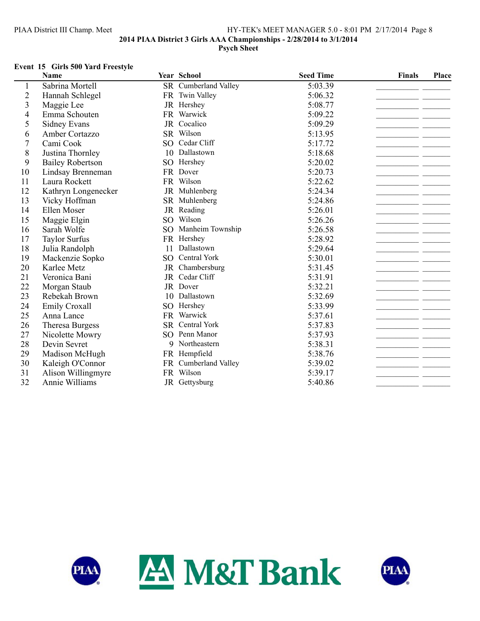### PIAA District III Champ. Meet HY-TEK's MEET MANAGER 5.0 - 8:01 PM 2/17/2014 Page 8 **2014 PIAA District 3 Girls AAA Championships - 2/28/2014 to 3/1/2014 Psych Sheet**

### **Event 15 Girls 500 Yard Freestyle**

|                | <b>Name</b>             |                 | Year School          | <b>Seed Time</b> | <b>Finals</b> | Place |
|----------------|-------------------------|-----------------|----------------------|------------------|---------------|-------|
|                | Sabrina Mortell         |                 | SR Cumberland Valley | 5:03.39          |               |       |
| $\overline{c}$ | Hannah Schlegel         | <b>FR</b>       | <b>Twin Valley</b>   | 5:06.32          |               |       |
| 3              | Maggie Lee              |                 | JR Hershey           | 5:08.77          |               |       |
| 4              | Emma Schouten           | FR              | Warwick              | 5:09.22          |               |       |
| 5              | <b>Sidney Evans</b>     |                 | JR Cocalico          | 5:09.29          |               |       |
| 6              | Amber Cortazzo          |                 | SR Wilson            | 5:13.95          |               |       |
| 7              | Cami Cook               |                 | SO Cedar Cliff       | 5:17.72          |               |       |
| 8              | Justina Thornley        |                 | 10 Dallastown        | 5:18.68          |               |       |
| 9              | <b>Bailey Robertson</b> |                 | SO Hershey           | 5:20.02          |               |       |
| 10             | Lindsay Brenneman       |                 | FR Dover             | 5:20.73          |               |       |
| 11             | Laura Rockett           |                 | FR Wilson            | 5:22.62          |               |       |
| 12             | Kathryn Longenecker     |                 | JR Muhlenberg        | 5:24.34          |               |       |
| 13             | Vicky Hoffman           |                 | SR Muhlenberg        | 5:24.86          |               |       |
| 14             | Ellen Moser             |                 | JR Reading           | 5:26.01          |               |       |
| 15             | Maggie Elgin            | SO <sub>2</sub> | Wilson               | 5:26.26          |               |       |
| 16             | Sarah Wolfe             |                 | SO Manheim Township  | 5:26.58          |               |       |
| 17             | <b>Taylor Surfus</b>    | <b>FR</b>       | Hershey              | 5:28.92          |               |       |
| 18             | Julia Randolph          | 11              | Dallastown           | 5:29.64          |               |       |
| 19             | Mackenzie Sopko         | SO.             | Central York         | 5:30.01          |               |       |
| 20             | Karlee Metz             | JR              | Chambersburg         | 5:31.45          |               |       |
| 21             | Veronica Bani           |                 | JR Cedar Cliff       | 5:31.91          |               |       |
| 22             | Morgan Staub            |                 | JR Dover             | 5:32.21          |               |       |
| 23             | Rebekah Brown           | 10              | Dallastown           | 5:32.69          |               |       |
| 24             | <b>Emily Croxall</b>    |                 | SO Hershey           | 5:33.99          |               |       |
| 25             | Anna Lance              |                 | FR Warwick           | 5:37.61          |               |       |
| 26             | Theresa Burgess         |                 | SR Central York      | 5:37.83          |               |       |
| 27             | Nicolette Mowry         |                 | SO Penn Manor        | 5:37.93          |               |       |
| 28             | Devin Sevret            |                 | 9 Northeastern       | 5:38.31          |               |       |
| 29             | Madison McHugh          |                 | FR Hempfield         | 5:38.76          |               |       |
| 30             | Kaleigh O'Connor        |                 | FR Cumberland Valley | 5:39.02          |               |       |
| 31             | Alison Willingmyre      |                 | FR Wilson            | 5:39.17          |               |       |
| 32             | Annie Williams          |                 | JR Gettysburg        | 5:40.86          |               |       |



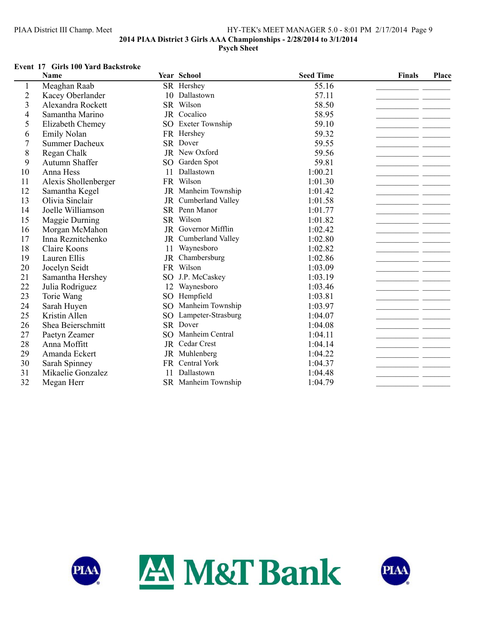# PIAA District III Champ. Meet HY-TEK's MEET MANAGER 5.0 - 8:01 PM 2/17/2014 Page 9 **2014 PIAA District 3 Girls AAA Championships - 2/28/2014 to 3/1/2014 Psych Sheet**

### **Event 17 Girls 100 Yard Backstroke**

|                | <b>Name</b>           |                 | Year School         | <b>Seed Time</b> | <b>Finals</b> | Place |
|----------------|-----------------------|-----------------|---------------------|------------------|---------------|-------|
|                | Meaghan Raab          |                 | SR Hershey          | 55.16            |               |       |
| $\overline{c}$ | Kacey Oberlander      |                 | 10 Dallastown       | 57.11            |               |       |
| 3              | Alexandra Rockett     |                 | SR Wilson           | 58.50            |               |       |
| 4              | Samantha Marino       |                 | JR Cocalico         | 58.95            |               |       |
| 5              | Elizabeth Chemey      |                 | SO Exeter Township  | 59.10            |               |       |
| 6              | <b>Emily Nolan</b>    |                 | FR Hershey          | 59.32            |               |       |
| 7              | <b>Summer Dacheux</b> |                 | SR Dover            | 59.55            |               |       |
| 8              | Regan Chalk           |                 | JR New Oxford       | 59.56            |               |       |
| 9              | Autumn Shaffer        |                 | SO Garden Spot      | 59.81            |               |       |
| 10             | Anna Hess             | 11              | Dallastown          | 1:00.21          |               |       |
| 11             | Alexis Shollenberger  | <b>FR</b>       | Wilson              | 1:01.30          |               |       |
| 12             | Samantha Kegel        |                 | JR Manheim Township | 1:01.42          |               |       |
| 13             | Olivia Sinclair       | JR              | Cumberland Valley   | 1:01.58          |               |       |
| 14             | Joelle Williamson     |                 | SR Penn Manor       | 1:01.77          |               |       |
| 15             | Maggie Durning        |                 | SR Wilson           | 1:01.82          |               |       |
| 16             | Morgan McMahon        |                 | JR Governor Mifflin | 1:02.42          |               |       |
| 17             | Inna Reznitchenko     | JR              | Cumberland Valley   | 1:02.80          |               |       |
| 18             | Claire Koons          | 11              | Waynesboro          | 1:02.82          |               |       |
| 19             | Lauren Ellis          | JR              | Chambersburg        | 1:02.86          |               |       |
| 20             | Jocelyn Seidt         |                 | FR Wilson           | 1:03.09          |               |       |
| 21             | Samantha Hershey      | SO <sub>1</sub> | J.P. McCaskey       | 1:03.19          |               |       |
| 22             | Julia Rodriguez       | 12              | Waynesboro          | 1:03.46          |               |       |
| 23             | Torie Wang            |                 | SO Hempfield        | 1:03.81          |               |       |
| 24             | Sarah Huyen           | SO <sub>1</sub> | Manheim Township    | 1:03.97          |               |       |
| 25             | Kristin Allen         | SO <sub>1</sub> | Lampeter-Strasburg  | 1:04.07          |               |       |
| 26             | Shea Beierschmitt     |                 | SR Dover            | 1:04.08          |               |       |
| 27             | Paetyn Zeamer         | SO.             | Manheim Central     | 1:04.11          |               |       |
| 28             | Anna Moffitt          |                 | JR Cedar Crest      | 1:04.14          |               |       |
| 29             | Amanda Eckert         |                 | JR Muhlenberg       | 1:04.22          |               |       |
| 30             | Sarah Spinney         | <b>FR</b>       | Central York        | 1:04.37          |               |       |
| 31             | Mikaelie Gonzalez     | 11              | Dallastown          | 1:04.48          |               |       |
| 32             | Megan Herr            |                 | SR Manheim Township | 1:04.79          |               |       |



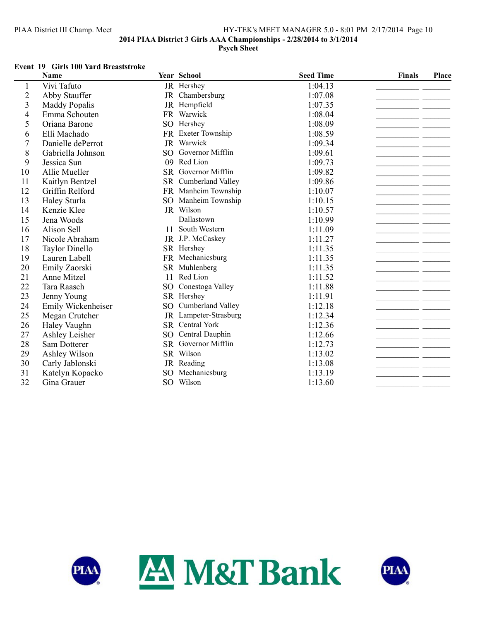# PIAA District III Champ. Meet HY-TEK's MEET MANAGER 5.0 - 8:01 PM 2/17/2014 Page 10 **2014 PIAA District 3 Girls AAA Championships - 2/28/2014 to 3/1/2014 Psych Sheet**

#### **Event 19 Girls 100 Yard Breaststroke**

|                | <b>Name</b>           |                 | Year School            | <b>Seed Time</b> | <b>Finals</b> | Place |
|----------------|-----------------------|-----------------|------------------------|------------------|---------------|-------|
| 1              | Vivi Tafuto           |                 | JR Hershey             | 1:04.13          |               |       |
| $\overline{2}$ | Abby Stauffer         | JR              | Chambersburg           | 1:07.08          |               |       |
| 3              | <b>Maddy Popalis</b>  |                 | JR Hempfield           | 1:07.35          |               |       |
| $\overline{4}$ | Emma Schouten         |                 | FR Warwick             | 1:08.04          |               |       |
| 5              | Oriana Barone         |                 | SO Hershey             | 1:08.09          |               |       |
| 6              | Elli Machado          | FR              | <b>Exeter Township</b> | 1:08.59          |               |       |
| $\overline{7}$ | Danielle dePerrot     |                 | JR Warwick             | 1:09.34          |               |       |
| 8              | Gabriella Johnson     | SO.             | Governor Mifflin       | 1:09.61          |               |       |
| 9              | Jessica Sun           | 09              | Red Lion               | 1:09.73          |               |       |
| 10             | Allie Mueller         |                 | SR Governor Mifflin    | 1:09.82          |               |       |
| 11             | Kaitlyn Bentzel       |                 | SR Cumberland Valley   | 1:09.86          |               |       |
| 12             | Griffin Relford       |                 | FR Manheim Township    | 1:10.07          |               |       |
| 13             | Haley Sturla          | SO <sub>2</sub> | Manheim Township       | 1:10.15          |               |       |
| 14             | Kenzie Klee           |                 | JR Wilson              | 1:10.57          |               |       |
| 15             | Jena Woods            |                 | Dallastown             | 1:10.99          |               |       |
| 16             | Alison Sell           | 11              | South Western          | 1:11.09          |               |       |
| 17             | Nicole Abraham        |                 | JR J.P. McCaskey       | 1:11.27          |               |       |
| 18             | <b>Taylor Dinello</b> |                 | SR Hershey             | 1:11.35          |               |       |
| 19             | Lauren Labell         |                 | FR Mechanicsburg       | 1:11.35          |               |       |
| 20             | Emily Zaorski         |                 | SR Muhlenberg          | 1:11.35          |               |       |
| 21             | Anne Mitzel           | 11              | Red Lion               | 1:11.52          |               |       |
| 22             | Tara Raasch           | SO.             | Conestoga Valley       | 1:11.88          |               |       |
| 23             | Jenny Young           |                 | SR Hershey             | 1:11.91          |               |       |
| 24             | Emily Wickenheiser    | SO              | Cumberland Valley      | 1:12.18          |               |       |
| 25             | Megan Crutcher        | JR              | Lampeter-Strasburg     | 1:12.34          |               |       |
| 26             | Haley Vaughn          |                 | SR Central York        | 1:12.36          |               |       |
| 27             | Ashley Leisher        | SO              | Central Dauphin        | 1:12.66          |               |       |
| 28             | Sam Dotterer          |                 | SR Governor Mifflin    | 1:12.73          |               |       |
| 29             | Ashley Wilson         |                 | SR Wilson              | 1:13.02          |               |       |
| 30             | Carly Jablonski       |                 | JR Reading             | 1:13.08          |               |       |
| 31             | Katelyn Kopacko       | SO.             | Mechanicsburg          | 1:13.19          |               |       |
| 32             | Gina Grauer           |                 | SO Wilson              | 1:13.60          |               |       |